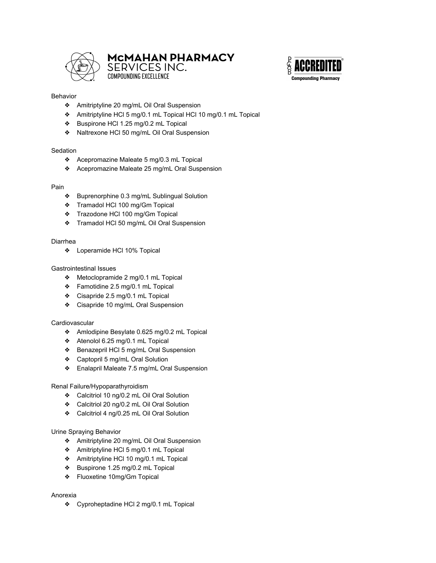

# MCMAHAN PHARMACY SERVICES INC.



#### Behavior

❖ Amitriptyline 20 mg/mL Oil Oral Suspension

**COMPOUNDING EXCELLENCE** 

- ❖ Amitriptyline HCl 5 mg/0.1 mL Topical HCl 10 mg/0.1 mL Topical
- ❖ Buspirone HCl 1.25 mg/0.2 mL Topical
- ❖ Naltrexone HCl 50 mg/mL Oil Oral Suspension

## **Sedation**

- ❖ Acepromazine Maleate 5 mg/0.3 mL Topical
- ❖ Acepromazine Maleate 25 mg/mL Oral Suspension

## Pain

- ❖ Buprenorphine 0.3 mg/mL Sublingual Solution
- ❖ Tramadol HCl 100 mg/Gm Topical
- ❖ Trazodone HCl 100 mg/Gm Topical
- ❖ Tramadol HCl 50 mg/mL Oil Oral Suspension

#### Diarrhea

❖ Loperamide HCl 10% Topical

## Gastrointestinal Issues

- ❖ Metoclopramide 2 mg/0.1 mL Topical
- ❖ Famotidine 2.5 mg/0.1 mL Topical
- ❖ Cisapride 2.5 mg/0.1 mL Topical
- ❖ Cisapride 10 mg/mL Oral Suspension

## **Cardiovascular**

- ❖ Amlodipine Besylate 0.625 mg/0.2 mL Topical
- ❖ Atenolol 6.25 mg/0.1 mL Topical
- ❖ Benazepril HCl 5 mg/mL Oral Suspension
- ❖ Captopril 5 mg/mL Oral Solution
- ❖ Enalapril Maleate 7.5 mg/mL Oral Suspension

## Renal Failure/Hypoparathyroidism

- ❖ Calcitriol 10 ng/0.2 mL Oil Oral Solution
- ❖ Calcitriol 20 ng/0.2 mL Oil Oral Solution
- ❖ Calcitriol 4 ng/0.25 mL Oil Oral Solution

## Urine Spraying Behavior

- ❖ Amitriptyline 20 mg/mL Oil Oral Suspension
- ❖ Amitriptyline HCl 5 mg/0.1 mL Topical
- ❖ Amitriptyline HCl 10 mg/0.1 mL Topical
- ❖ Buspirone 1.25 mg/0.2 mL Topical
- ❖ Fluoxetine 10mg/Gm Topical

## Anorexia

❖ Cyproheptadine HCl 2 mg/0.1 mL Topical